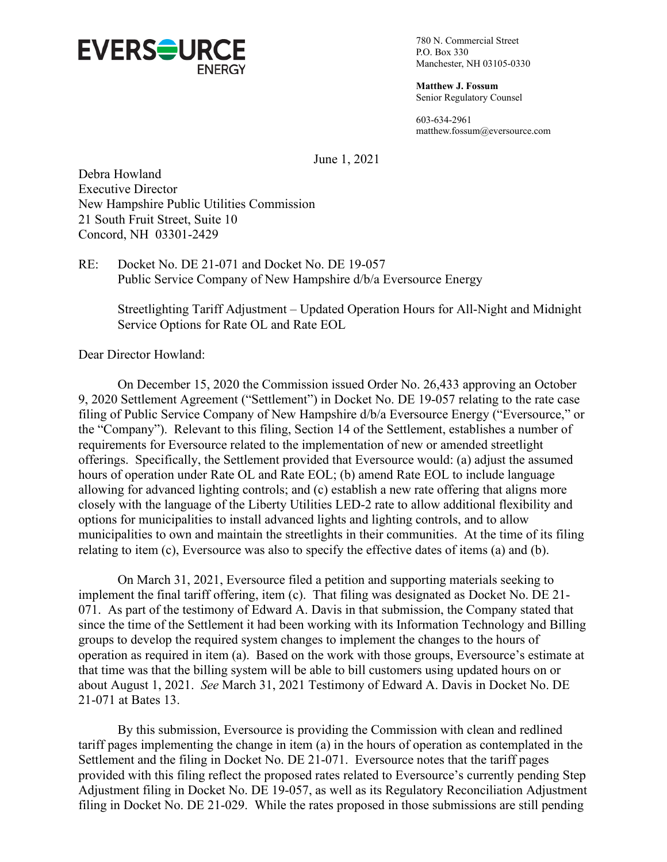

780 N. Commercial Street P.O. Box 330 Manchester, NH 03105-0330

**Matthew J. Fossum** Senior Regulatory Counsel

603-634-2961 matthew.fossum@eversource.com

June 1, 2021

Debra Howland Executive Director New Hampshire Public Utilities Commission 21 South Fruit Street, Suite 10 Concord, NH 03301-2429

RE: Docket No. DE 21-071 and Docket No. DE 19-057 Public Service Company of New Hampshire d/b/a Eversource Energy

Streetlighting Tariff Adjustment – Updated Operation Hours for All-Night and Midnight Service Options for Rate OL and Rate EOL

Dear Director Howland:

On December 15, 2020 the Commission issued Order No. 26,433 approving an October 9, 2020 Settlement Agreement ("Settlement") in Docket No. DE 19-057 relating to the rate case filing of Public Service Company of New Hampshire d/b/a Eversource Energy ("Eversource," or the "Company"). Relevant to this filing, Section 14 of the Settlement, establishes a number of requirements for Eversource related to the implementation of new or amended streetlight offerings. Specifically, the Settlement provided that Eversource would: (a) adjust the assumed hours of operation under Rate OL and Rate EOL; (b) amend Rate EOL to include language allowing for advanced lighting controls; and (c) establish a new rate offering that aligns more closely with the language of the Liberty Utilities LED-2 rate to allow additional flexibility and options for municipalities to install advanced lights and lighting controls, and to allow municipalities to own and maintain the streetlights in their communities. At the time of its filing relating to item (c), Eversource was also to specify the effective dates of items (a) and (b).

On March 31, 2021, Eversource filed a petition and supporting materials seeking to implement the final tariff offering, item (c). That filing was designated as Docket No. DE 21- 071. As part of the testimony of Edward A. Davis in that submission, the Company stated that since the time of the Settlement it had been working with its Information Technology and Billing groups to develop the required system changes to implement the changes to the hours of operation as required in item (a). Based on the work with those groups, Eversource's estimate at that time was that the billing system will be able to bill customers using updated hours on or about August 1, 2021. *See* March 31, 2021 Testimony of Edward A. Davis in Docket No. DE 21-071 at Bates 13.

By this submission, Eversource is providing the Commission with clean and redlined tariff pages implementing the change in item (a) in the hours of operation as contemplated in the Settlement and the filing in Docket No. DE 21-071. Eversource notes that the tariff pages provided with this filing reflect the proposed rates related to Eversource's currently pending Step Adjustment filing in Docket No. DE 19-057, as well as its Regulatory Reconciliation Adjustment filing in Docket No. DE 21-029. While the rates proposed in those submissions are still pending